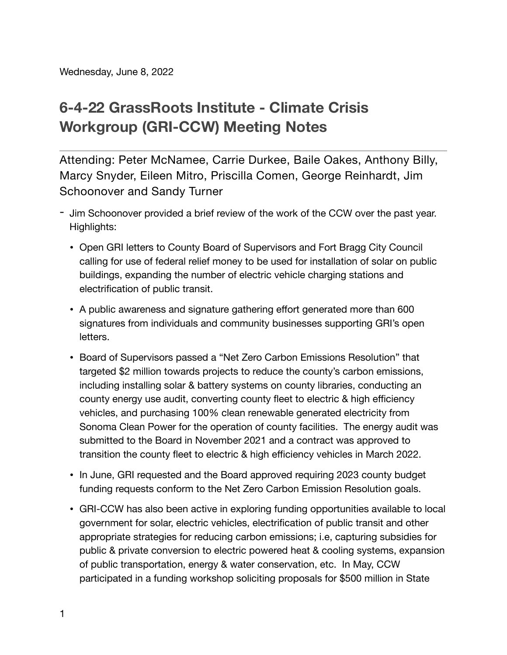## **6-4-22 GrassRoots Institute - Climate Crisis Workgroup (GRI-CCW) Meeting Notes**

Attending: Peter McNamee, Carrie Durkee, Baile Oakes, Anthony Billy, Marcy Snyder, Eileen Mitro, Priscilla Comen, George Reinhardt, Jim Schoonover and Sandy Turner

- Jim Schoonover provided a brief review of the work of the CCW over the past year. Highlights:
	- Open GRI letters to County Board of Supervisors and Fort Bragg City Council calling for use of federal relief money to be used for installation of solar on public buildings, expanding the number of electric vehicle charging stations and electrification of public transit.
	- A public awareness and signature gathering effort generated more than 600 signatures from individuals and community businesses supporting GRI's open letters.
	- Board of Supervisors passed a "Net Zero Carbon Emissions Resolution" that targeted \$2 million towards projects to reduce the county's carbon emissions, including installing solar & battery systems on county libraries, conducting an county energy use audit, converting county fleet to electric & high efficiency vehicles, and purchasing 100% clean renewable generated electricity from Sonoma Clean Power for the operation of county facilities. The energy audit was submitted to the Board in November 2021 and a contract was approved to transition the county fleet to electric & high efficiency vehicles in March 2022.
	- In June, GRI requested and the Board approved requiring 2023 county budget funding requests conform to the Net Zero Carbon Emission Resolution goals.
	- GRI-CCW has also been active in exploring funding opportunities available to local government for solar, electric vehicles, electrification of public transit and other appropriate strategies for reducing carbon emissions; i.e, capturing subsidies for public & private conversion to electric powered heat & cooling systems, expansion of public transportation, energy & water conservation, etc. In May, CCW participated in a funding workshop soliciting proposals for \$500 million in State